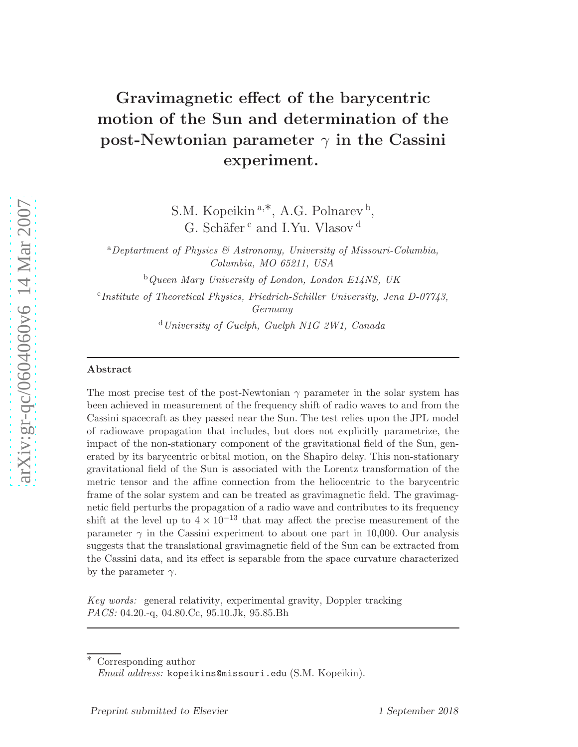# Gravimagnetic effect of the barycentric motion of the Sun and determination of the post-Newtonian parameter  $\gamma$  in the Cassini experiment.

S.M. Kopeikin<sup>a,\*</sup>, A.G. Polnarev<sup>b</sup>, G. Schäfer<sup>c</sup> and I.Yu. Vlasov<sup>d</sup>

<sup>a</sup>*Deptartment of Physics & Astronomy, University of Missouri-Columbia, Columbia, MO 65211, USA*

<sup>b</sup>*Queen Mary University of London, London E14NS, UK*

c *Institute of Theoretical Physics, Friedrich-Schiller University, Jena D-07743, Germany*

<sup>d</sup>*University of Guelph, Guelph N1G 2W1, Canada*

### Abstract

The most precise test of the post-Newtonian  $\gamma$  parameter in the solar system has been achieved in measurement of the frequency shift of radio waves to and from the Cassini spacecraft as they passed near the Sun. The test relies upon the JPL model of radiowave propagation that includes, but does not explicitly parametrize, the impact of the non-stationary component of the gravitational field of the Sun, generated by its barycentric orbital motion, on the Shapiro delay. This non-stationary gravitational field of the Sun is associated with the Lorentz transformation of the metric tensor and the affine connection from the heliocentric to the barycentric frame of the solar system and can be treated as gravimagnetic field. The gravimagnetic field perturbs the propagation of a radio wave and contributes to its frequency shift at the level up to  $4 \times 10^{-13}$  that may affect the precise measurement of the parameter  $\gamma$  in the Cassini experiment to about one part in 10,000. Our analysis suggests that the translational gravimagnetic field of the Sun can be extracted from the Cassini data, and its effect is separable from the space curvature characterized by the parameter  $\gamma$ .

*Key words:* general relativity, experimental gravity, Doppler tracking *PACS:* 04.20.-q, 04.80.Cc, 95.10.Jk, 95.85.Bh

Corresponding author

*Email address:* kopeikins@missouri.edu (S.M. Kopeikin).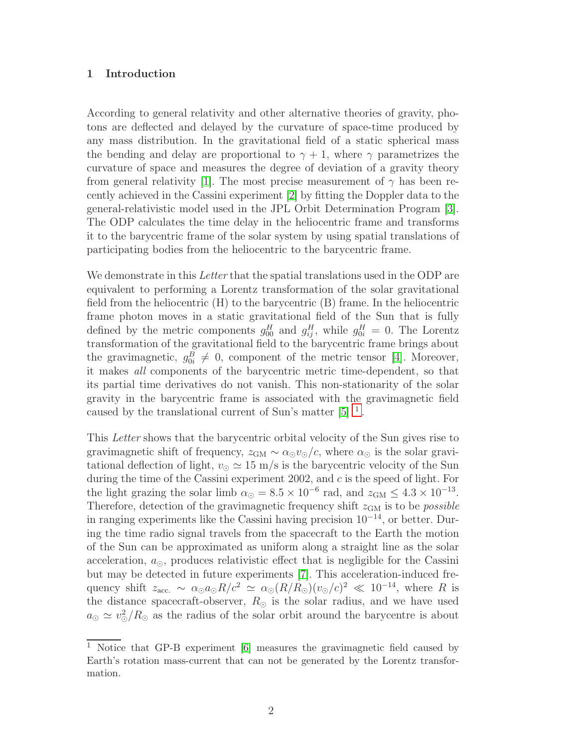# 1 Introduction

According to general relativity and other alternative theories of gravity, photons are deflected and delayed by the curvature of space-time produced by any mass distribution. In the gravitational field of a static spherical mass the bending and delay are proportional to  $\gamma + 1$ , where  $\gamma$  parametrizes the curvature of space and measures the degree of deviation of a gravity theory from general relativity [\[1\]](#page-9-0). The most precise measurement of  $\gamma$  has been recently achieved in the Cassini experiment [\[2\]](#page-9-1) by fitting the Doppler data to the general-relativistic model used in the JPL Orbit Determination Program [\[3\]](#page-9-2). The ODP calculates the time delay in the heliocentric frame and transforms it to the barycentric frame of the solar system by using spatial translations of participating bodies from the heliocentric to the barycentric frame.

We demonstrate in this *Letter* that the spatial translations used in the ODP are equivalent to performing a Lorentz transformation of the solar gravitational field from the heliocentric (H) to the barycentric (B) frame. In the heliocentric frame photon moves in a static gravitational field of the Sun that is fully defined by the metric components  $g_{00}^H$  and  $g_{ij}^H$ , while  $g_{0i}^H = 0$ . The Lorentz transformation of the gravitational field to the barycentric frame brings about the gravimagnetic,  $g_{0i}^B \neq 0$ , component of the metric tensor [\[4\]](#page-9-3). Moreover, it makes all components of the barycentric metric time-dependent, so that its partial time derivatives do not vanish. This non-stationarity of the solar gravity in the barycentric frame is associated with the gravimagnetic field caused by the translational current of Sun's matter  $[5]$ <sup>[1](#page-1-0)</sup>.

This Letter shows that the barycentric orbital velocity of the Sun gives rise to gravimagnetic shift of frequency,  $z_{GM} \sim \alpha_{\odot} v_{\odot}/c$ , where  $\alpha_{\odot}$  is the solar gravitational deflection of light,  $v_{\odot} \simeq 15 \text{ m/s}$  is the barycentric velocity of the Sun during the time of the Cassini experiment 2002, and c is the speed of light. For the light grazing the solar limb  $\alpha_{\odot} = 8.5 \times 10^{-6}$  rad, and  $z_{\text{GM}} \leq 4.3 \times 10^{-13}$ . Therefore, detection of the gravimagnetic frequency shift  $z_{GM}$  is to be *possible* in ranging experiments like the Cassini having precision  $10^{-14}$ , or better. During the time radio signal travels from the spacecraft to the Earth the motion of the Sun can be approximated as uniform along a straight line as the solar acceleration,  $a_{\odot}$ , produces relativistic effect that is negligible for the Cassini but may be detected in future experiments [\[7\]](#page-9-5). This acceleration-induced frequency shift  $z_{\text{acc.}} \sim \alpha_{\odot} a_{\odot} R/c^2 \simeq \alpha_{\odot} (R/R_{\odot})(v_{\odot}/c)^2 \ll 10^{-14}$ , where R is the distance spacecraft-observer,  $R_{\odot}$  is the solar radius, and we have used  $a_{\odot} \simeq v_{\odot}^2/R_{\odot}$  as the radius of the solar orbit around the barycentre is about

<span id="page-1-0"></span><sup>1</sup> Notice that GP-B experiment [\[6\]](#page-9-6) measures the gravimagnetic field caused by Earth's rotation mass-current that can not be generated by the Lorentz transformation.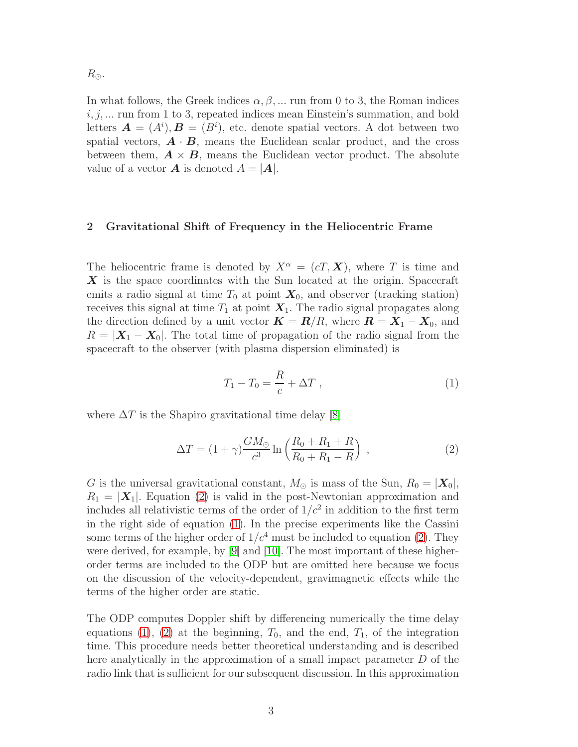$R_{\odot}$ .

In what follows, the Greek indices  $\alpha, \beta, \dots$  run from 0 to 3, the Roman indices  $i, j, \ldots$  run from 1 to 3, repeated indices mean Einstein's summation, and bold letters  $\mathbf{A} = (A^i), \mathbf{B} = (B^i)$ , etc. denote spatial vectors. A dot between two spatial vectors,  $\mathbf{A} \cdot \mathbf{B}$ , means the Euclidean scalar product, and the cross between them,  $\mathbf{A} \times \mathbf{B}$ , means the Euclidean vector product. The absolute value of a vector **A** is denoted  $A = |A|$ .

## 2 Gravitational Shift of Frequency in the Heliocentric Frame

The heliocentric frame is denoted by  $X^{\alpha} = (cT, \mathbf{X})$ , where T is time and X is the space coordinates with the Sun located at the origin. Spacecraft emits a radio signal at time  $T_0$  at point  $\mathbf{X}_0$ , and observer (tracking station) receives this signal at time  $T_1$  at point  $X_1$ . The radio signal propagates along the direction defined by a unit vector  $\mathbf{K} = \mathbf{R}/R$ , where  $\mathbf{R} = \mathbf{X}_1 - \mathbf{X}_0$ , and  $R = |\mathbf{X}_1 - \mathbf{X}_0|$ . The total time of propagation of the radio signal from the spacecraft to the observer (with plasma dispersion eliminated) is

<span id="page-2-1"></span>
$$
T_1 - T_0 = \frac{R}{c} + \Delta T \,,\tag{1}
$$

where  $\Delta T$  is the Shapiro gravitational time delay [\[8\]](#page-9-7)

<span id="page-2-0"></span>
$$
\Delta T = (1 + \gamma) \frac{GM_{\odot}}{c^3} \ln \left( \frac{R_0 + R_1 + R}{R_0 + R_1 - R} \right) , \qquad (2)
$$

G is the universal gravitational constant,  $M_{\odot}$  is mass of the Sun,  $R_0 = |\mathbf{X}_0|$ ,  $R_1 = |\mathbf{X}_1|$ . Equation [\(2\)](#page-2-0) is valid in the post-Newtonian approximation and includes all relativistic terms of the order of  $1/c^2$  in addition to the first term in the right side of equation [\(1\)](#page-2-1). In the precise experiments like the Cassini some terms of the higher order of  $1/c<sup>4</sup>$  must be included to equation [\(2\)](#page-2-0). They were derived, for example, by [\[9\]](#page-9-8) and [\[10\]](#page-9-9). The most important of these higherorder terms are included to the ODP but are omitted here because we focus on the discussion of the velocity-dependent, gravimagnetic effects while the terms of the higher order are static.

The ODP computes Doppler shift by differencing numerically the time delay equations [\(1\)](#page-2-1), [\(2\)](#page-2-0) at the beginning,  $T_0$ , and the end,  $T_1$ , of the integration time. This procedure needs better theoretical understanding and is described here analytically in the approximation of a small impact parameter D of the radio link that is sufficient for our subsequent discussion. In this approximation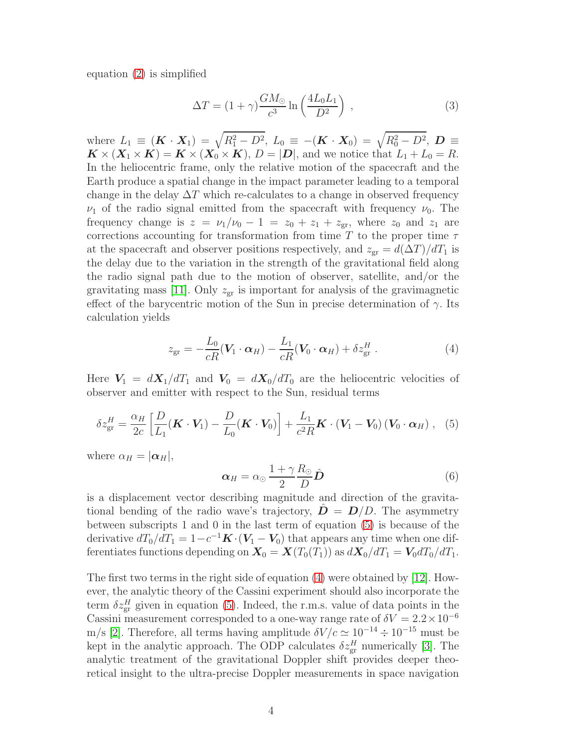equation [\(2\)](#page-2-0) is simplified

$$
\Delta T = (1 + \gamma) \frac{GM_{\odot}}{c^3} \ln \left( \frac{4L_0 L_1}{D^2} \right) , \qquad (3)
$$

where  $L_1 \equiv (K \cdot X_1) = \sqrt{R_1^2 - D^2}$ ,  $L_0 \equiv -(K \cdot X_0) = \sqrt{R_0^2 - D^2}$ ,  $D \equiv$  $\mathbf{K} \times (\mathbf{X}_1 \times \mathbf{K}) = \mathbf{K} \times (\mathbf{X}_0 \times \mathbf{K}), D = |\mathbf{D}|$ , and we notice that  $L_1 + L_0 = R$ . In the heliocentric frame, only the relative motion of the spacecraft and the Earth produce a spatial change in the impact parameter leading to a temporal change in the delay  $\Delta T$  which re-calculates to a change in observed frequency  $\nu_1$  of the radio signal emitted from the spacecraft with frequency  $\nu_0$ . The frequency change is  $z = \nu_1/\nu_0 - 1 = z_0 + z_1 + z_{gr}$ , where  $z_0$  and  $z_1$  are corrections accounting for transformation from time T to the proper time  $\tau$ at the spacecraft and observer positions respectively, and  $z_{\rm cr} = d(\Delta T)/dT_1$  is the delay due to the variation in the strength of the gravitational field along the radio signal path due to the motion of observer, satellite, and/or the gravitating mass [\[11\]](#page-9-10). Only  $z_{\text{gr}}$  is important for analysis of the gravimagnetic effect of the barycentric motion of the Sun in precise determination of  $\gamma$ . Its calculation yields

<span id="page-3-1"></span>
$$
z_{\rm gr} = -\frac{L_0}{cR}(\mathbf{V}_1 \cdot \boldsymbol{\alpha}_H) - \frac{L_1}{cR}(\mathbf{V}_0 \cdot \boldsymbol{\alpha}_H) + \delta z_{\rm gr}^H.
$$
 (4)

Here  $V_1 = dX_1/dT_1$  and  $V_0 = dX_0/dT_0$  are the heliocentric velocities of observer and emitter with respect to the Sun, residual terms

<span id="page-3-0"></span>
$$
\delta z_{\text{gr}}^H = \frac{\alpha_H}{2c} \left[ \frac{D}{L_1} (\boldsymbol{K} \cdot \boldsymbol{V}_1) - \frac{D}{L_0} (\boldsymbol{K} \cdot \boldsymbol{V}_0) \right] + \frac{L_1}{c^2 R} \boldsymbol{K} \cdot (\boldsymbol{V}_1 - \boldsymbol{V}_0) (\boldsymbol{V}_0 \cdot \boldsymbol{\alpha}_H) , \quad (5)
$$

where  $\alpha_H = |\alpha_H|$ ,

$$
\alpha_H = \alpha_\odot \frac{1 + \gamma R_\odot}{2} \hat{D}
$$
 (6)

is a displacement vector describing magnitude and direction of the gravitational bending of the radio wave's trajectory,  $\mathbf{D} = \mathbf{D}/D$ . The asymmetry between subscripts 1 and 0 in the last term of equation [\(5\)](#page-3-0) is because of the derivative  $dT_0/dT_1 = 1 - c^{-1}\mathbf{K} \cdot (\mathbf{V}_1 - \mathbf{V}_0)$  that appears any time when one differentiates functions depending on  $\mathbf{X}_0 = \mathbf{X}(T_0(T_1))$  as  $d\mathbf{X}_0/dT_1 = \mathbf{V}_0 dT_0/dT_1$ .

The first two terms in the right side of equation [\(4\)](#page-3-1) were obtained by [\[12\]](#page-9-11). However, the analytic theory of the Cassini experiment should also incorporate the term  $\delta z_{\rm gr}^H$  given in equation [\(5\)](#page-3-0). Indeed, the r.m.s. value of data points in the Cassini measurement corresponded to a one-way range rate of  $\delta V = 2.2 \times 10^{-6}$ m/s [\[2\]](#page-9-1). Therefore, all terms having amplitude  $\delta V/c \simeq 10^{-14} \div 10^{-15}$  must be kept in the analytic approach. The ODP calculates  $\delta z_{\rm gr}^H$  numerically [\[3\]](#page-9-2). The analytic treatment of the gravitational Doppler shift provides deeper theoretical insight to the ultra-precise Doppler measurements in space navigation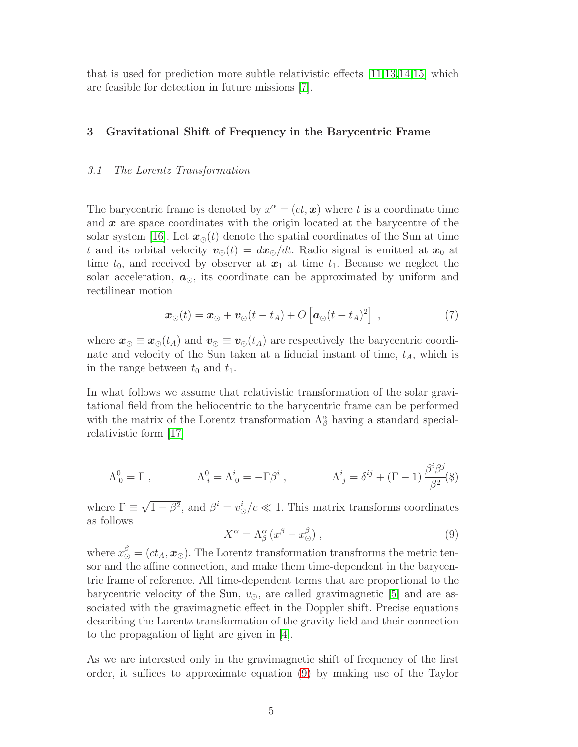that is used for prediction more subtle relativistic effects [\[11](#page-9-10)[,13](#page-9-12)[,14](#page-9-13)[,15\]](#page-9-14) which are feasible for detection in future missions [\[7\]](#page-9-5).

# 3 Gravitational Shift of Frequency in the Barycentric Frame

### 3.1 The Lorentz Transformation

The barycentric frame is denoted by  $x^{\alpha} = (ct, x)$  where t is a coordinate time and  $x$  are space coordinates with the origin located at the barycentre of the solar system [\[16\]](#page-10-0). Let  $x_{\odot}(t)$  denote the spatial coordinates of the Sun at time t and its orbital velocity  $v_{\odot}(t) = dx_{\odot}/dt$ . Radio signal is emitted at  $x_0$  at time  $t_0$ , and received by observer at  $x_1$  at time  $t_1$ . Because we neglect the solar acceleration,  $a_{\odot}$ , its coordinate can be approximated by uniform and rectilinear motion

<span id="page-4-2"></span>
$$
\boldsymbol{x}_{\odot}(t) = \boldsymbol{x}_{\odot} + \boldsymbol{v}_{\odot}(t - t_A) + O\left[\boldsymbol{a}_{\odot}(t - t_A)^2\right] \,, \tag{7}
$$

where  $\mathbf{x}_{\odot} \equiv \mathbf{x}_{\odot}(t_A)$  and  $\mathbf{v}_{\odot} \equiv \mathbf{v}_{\odot}(t_A)$  are respectively the barycentric coordinate and velocity of the Sun taken at a fiducial instant of time,  $t_A$ , which is in the range between  $t_0$  and  $t_1$ .

In what follows we assume that relativistic transformation of the solar gravitational field from the heliocentric to the barycentric frame can be performed with the matrix of the Lorentz transformation  $\Lambda^{\alpha}_{\beta}$  having a standard specialrelativistic form [\[17\]](#page-10-1)

<span id="page-4-1"></span>
$$
\Lambda^0_0 = \Gamma \;, \qquad \qquad \Lambda^0_i = \Lambda^i_0 = -\Gamma \beta^i \;, \qquad \qquad \Lambda^i_j = \delta^{ij} + (\Gamma - 1) \frac{\beta^i \beta^j}{\beta^2}(\hat{\mathbf{x}})
$$

where  $\Gamma \equiv \sqrt{1-\beta^2}$ , and  $\beta^i = v_{\odot}^i/c \ll 1$ . This matrix transforms coordinates as follows

<span id="page-4-0"></span>
$$
X^{\alpha} = \Lambda^{\alpha}_{\beta} \left( x^{\beta} - x^{\beta}_{\odot} \right), \tag{9}
$$

where  $x_{{\odot}}^{\beta}=(ct_A,{\boldsymbol{x}}_{{\odot}}).$  The Lorentz transformation transfrorms the metric tensor and the affine connection, and make them time-dependent in the barycentric frame of reference. All time-dependent terms that are proportional to the barycentric velocity of the Sun,  $v_{\odot}$ , are called gravimagnetic [\[5\]](#page-9-4) and are associated with the gravimagnetic effect in the Doppler shift. Precise equations describing the Lorentz transformation of the gravity field and their connection to the propagation of light are given in [\[4\]](#page-9-3).

As we are interested only in the gravimagnetic shift of frequency of the first order, it suffices to approximate equation [\(9\)](#page-4-0) by making use of the Taylor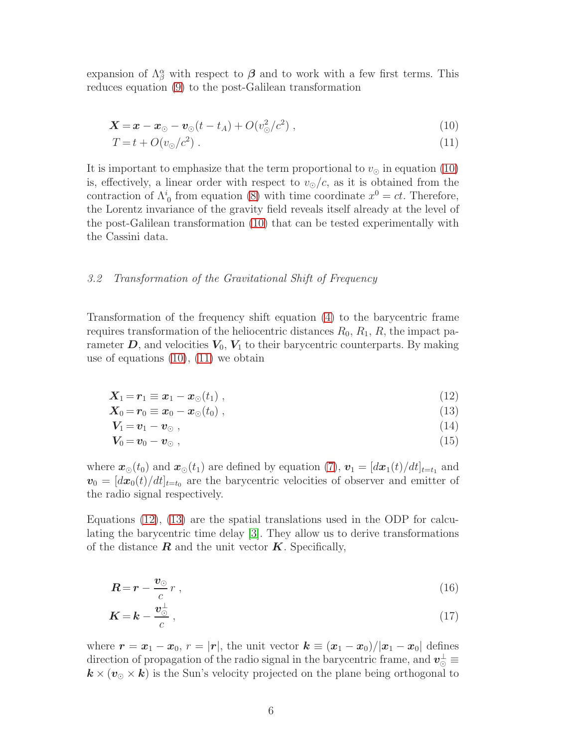expansion of  $\Lambda^{\alpha}_{\beta}$  with respect to  $\beta$  and to work with a few first terms. This reduces equation [\(9\)](#page-4-0) to the post-Galilean transformation

<span id="page-5-0"></span>
$$
\mathbf{X} = \mathbf{x} - \mathbf{x}_{\odot} - \mathbf{v}_{\odot}(t - t_A) + O(v_{\odot}^2/c^2) , \qquad (10)
$$

$$
T = t + O(v_{\odot}/c^2) \tag{11}
$$

It is important to emphasize that the term proportional to  $v_{\odot}$  in equation [\(10\)](#page-5-0) is, effectively, a linear order with respect to  $v_{\odot}/c$ , as it is obtained from the contraction of  $\Lambda_0^i$  from equation [\(8\)](#page-4-1) with time coordinate  $x^0 = ct$ . Therefore, the Lorentz invariance of the gravity field reveals itself already at the level of the post-Galilean transformation [\(10\)](#page-5-0) that can be tested experimentally with the Cassini data.

## 3.2 Transformation of the Gravitational Shift of Frequency

Transformation of the frequency shift equation [\(4\)](#page-3-1) to the barycentric frame requires transformation of the heliocentric distances  $R_0$ ,  $R_1$ ,  $R$ , the impact parameter  $D$ , and velocities  $V_0$ ,  $V_1$  to their barycentric counterparts. By making use of equations [\(10\)](#page-5-0), [\(11\)](#page-5-0) we obtain

<span id="page-5-1"></span>
$$
\mathbf{X}_1 = \mathbf{r}_1 \equiv \mathbf{x}_1 - \mathbf{x}_\odot(t_1) \tag{12}
$$

$$
\mathbf{X}_0 = \mathbf{r}_0 \equiv \mathbf{x}_0 - \mathbf{x}_\odot(t_0) \tag{13}
$$

$$
V_1 = v_1 - v_\odot \; , \tag{14}
$$

$$
V_0 = v_0 - v_{\odot} \tag{15}
$$

where  $\mathbf{x}_{\odot}(t_0)$  and  $\mathbf{x}_{\odot}(t_1)$  are defined by equation [\(7\)](#page-4-2),  $\mathbf{v}_1 = [d\mathbf{x}_1(t)/dt]_{t=t_1}$  and  $v_0 = [dx_0(t)/dt]_{t=t_0}$  are the barycentric velocities of observer and emitter of the radio signal respectively.

Equations [\(12\)](#page-5-1), [\(13\)](#page-5-1) are the spatial translations used in the ODP for calculating the barycentric time delay [\[3\]](#page-9-2). They allow us to derive transformations of the distance  $\bf{R}$  and the unit vector  $\bf{K}$ . Specifically,

$$
\mathbf{R} = \mathbf{r} - \frac{\mathbf{v}_{\odot}}{c} r \;, \tag{16}
$$

$$
K = k - \frac{v_{\odot}^{\perp}}{c} \,,\tag{17}
$$

where  $r = x_1 - x_0$ ,  $r = |r|$ , the unit vector  $k \equiv (x_1 - x_0)/|x_1 - x_0|$  defines direction of propagation of the radio signal in the barycentric frame, and  $\bm{v}_{\odot}^{\perp}$   $\equiv$  $k \times (v_{\odot} \times k)$  is the Sun's velocity projected on the plane being orthogonal to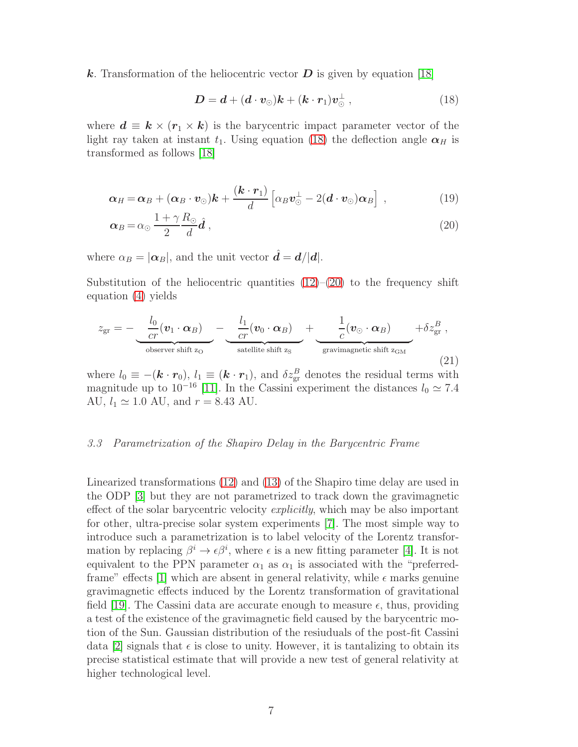k. Transformation of the heliocentric vector  $D$  is given by equation [\[18\]](#page-10-2)

<span id="page-6-0"></span>
$$
D = d + (d \cdot v_{\odot})k + (k \cdot r_1)v_{\odot}^{\perp} , \qquad (18)
$$

where  $\mathbf{d} \equiv \mathbf{k} \times (\mathbf{r}_1 \times \mathbf{k})$  is the barycentric impact parameter vector of the light ray taken at instant  $t_1$ . Using equation [\(18\)](#page-6-0) the deflection angle  $\alpha_H$  is transformed as follows [\[18\]](#page-10-2)

<span id="page-6-1"></span>
$$
\boldsymbol{\alpha}_H = \boldsymbol{\alpha}_B + (\boldsymbol{\alpha}_B \cdot \boldsymbol{v}_\odot) \boldsymbol{k} + \frac{(\boldsymbol{k} \cdot \boldsymbol{r}_1)}{d} \left[ \alpha_B \boldsymbol{v}_\odot^{\perp} - 2 (\boldsymbol{d} \cdot \boldsymbol{v}_\odot) \boldsymbol{\alpha}_B \right] , \qquad (19)
$$

$$
\alpha_B = \alpha_\odot \, \frac{1 + \gamma}{2} \frac{R_\odot}{d} \hat{\bm{d}} \,, \tag{20}
$$

where  $\alpha_B = |\alpha_B|$ , and the unit vector  $\hat{d} = d/|d|$ .

Substitution of the heliocentric quantities  $(12)$ – $(20)$  to the frequency shift equation [\(4\)](#page-3-1) yields

<span id="page-6-2"></span>
$$
z_{\text{gr}} = -\underbrace{\frac{l_0}{cr}(\mathbf{v}_1 \cdot \boldsymbol{\alpha}_B)}_{\text{observer shift } z_{\text{O}}} - \underbrace{\frac{l_1}{cr}(\mathbf{v}_0 \cdot \boldsymbol{\alpha}_B)}_{\text{satellite shift } z_{\text{S}}} + \underbrace{\frac{1}{c}(\mathbf{v}_{\odot} \cdot \boldsymbol{\alpha}_B)}_{\text{gravimagnetic shift } z_{\text{GM}}} + \delta z_{\text{gr}}^B ,
$$
\n(21)

where  $l_0 \equiv -(\mathbf{k} \cdot \mathbf{r}_0)$ ,  $l_1 \equiv (\mathbf{k} \cdot \mathbf{r}_1)$ , and  $\delta z_{gr}^B$  denotes the residual terms with magnitude up to 10<sup>-16</sup> [\[11\]](#page-9-10). In the Cassini experiment the distances  $l_0 \simeq 7.4$ AU,  $l_1 \approx 1.0$  AU, and  $r = 8.43$  AU.

#### 3.3 Parametrization of the Shapiro Delay in the Barycentric Frame

Linearized transformations [\(12\)](#page-5-1) and [\(13\)](#page-5-1) of the Shapiro time delay are used in the ODP [\[3\]](#page-9-2) but they are not parametrized to track down the gravimagnetic effect of the solar barycentric velocity *explicitly*, which may be also important for other, ultra-precise solar system experiments [\[7\]](#page-9-5). The most simple way to introduce such a parametrization is to label velocity of the Lorentz transformation by replacing  $\beta^i \to \epsilon \beta^i$ , where  $\epsilon$  is a new fitting parameter [\[4\]](#page-9-3). It is not equivalent to the PPN parameter  $\alpha_1$  as  $\alpha_1$  is associated with the "preferred-frame" effects [\[1\]](#page-9-0) which are absent in general relativity, while  $\epsilon$  marks genuine gravimagnetic effects induced by the Lorentz transformation of gravitational field [\[19\]](#page-10-3). The Cassini data are accurate enough to measure  $\epsilon$ , thus, providing a test of the existence of the gravimagnetic field caused by the barycentric motion of the Sun. Gaussian distribution of the resiuduals of the post-fit Cassini data [\[2\]](#page-9-1) signals that  $\epsilon$  is close to unity. However, it is tantalizing to obtain its precise statistical estimate that will provide a new test of general relativity at higher technological level.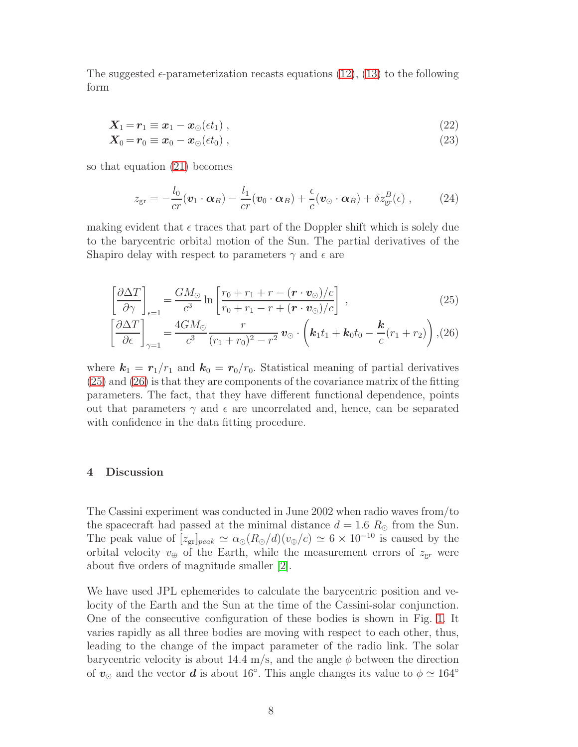The suggested  $\epsilon$ -parameterization recasts equations [\(12\)](#page-5-1), [\(13\)](#page-5-1) to the following form

<span id="page-7-1"></span>
$$
\mathbf{X}_1 = \mathbf{r}_1 \equiv \mathbf{x}_1 - \mathbf{x}_\odot(\epsilon t_1) \,,\tag{22}
$$

$$
\mathbf{X}_0 = \mathbf{r}_0 \equiv \mathbf{x}_0 - \mathbf{x}_\odot (\epsilon t_0) \;, \tag{23}
$$

so that equation [\(21\)](#page-6-2) becomes

$$
z_{\rm gr} = -\frac{l_0}{cr}(\boldsymbol{v}_1 \cdot \boldsymbol{\alpha}_B) - \frac{l_1}{cr}(\boldsymbol{v}_0 \cdot \boldsymbol{\alpha}_B) + \frac{\epsilon}{c}(\boldsymbol{v}_\odot \cdot \boldsymbol{\alpha}_B) + \delta z_{\rm gr}^B(\epsilon) , \qquad (24)
$$

making evident that  $\epsilon$  traces that part of the Doppler shift which is solely due to the barycentric orbital motion of the Sun. The partial derivatives of the Shapiro delay with respect to parameters  $\gamma$  and  $\epsilon$  are

<span id="page-7-0"></span>
$$
\left[\frac{\partial \Delta T}{\partial \gamma}\right]_{\epsilon=1} = \frac{GM_{\odot}}{c^3} \ln \left[\frac{r_0 + r_1 + r - (\boldsymbol{r} \cdot \boldsymbol{v}_{\odot})/c}{r_0 + r_1 - r + (\boldsymbol{r} \cdot \boldsymbol{v}_{\odot})/c}\right] ,
$$
\n(25)

$$
\left[\frac{\partial \Delta T}{\partial \epsilon}\right]_{\gamma=1} = \frac{4GM_{\odot}}{c^3} \frac{r}{(r_1+r_0)^2 - r^2} \mathbf{v}_{\odot} \cdot \left(\mathbf{k}_1 t_1 + \mathbf{k}_0 t_0 - \frac{\mathbf{k}}{c}(r_1+r_2)\right), (26)
$$

where  $k_1 = r_1/r_1$  and  $k_0 = r_0/r_0$ . Statistical meaning of partial derivatives [\(25\)](#page-7-0) and [\(26\)](#page-7-0) is that they are components of the covariance matrix of the fitting parameters. The fact, that they have different functional dependence, points out that parameters  $\gamma$  and  $\epsilon$  are uncorrelated and, hence, can be separated with confidence in the data fitting procedure.

#### 4 Discussion

The Cassini experiment was conducted in June 2002 when radio waves from/to the spacecraft had passed at the minimal distance  $d = 1.6 R_{\odot}$  from the Sun. The peak value of  $[z_{gr}]_{peak} \simeq \alpha_{\odot}(R_{\odot}/d)(v_{\oplus}/c) \simeq 6 \times 10^{-10}$  is caused by the orbital velocity  $v_{\oplus}$  of the Earth, while the measurement errors of  $z_{\text{gr}}$  were about five orders of magnitude smaller [\[2\]](#page-9-1).

We have used JPL ephemerides to calculate the barycentric position and velocity of the Earth and the Sun at the time of the Cassini-solar conjunction. One of the consecutive configuration of these bodies is shown in Fig. [1.](#page-11-0) It varies rapidly as all three bodies are moving with respect to each other, thus, leading to the change of the impact parameter of the radio link. The solar barycentric velocity is about 14.4 m/s, and the angle  $\phi$  between the direction of  $v_{\odot}$  and the vector  $d$  is about 16°. This angle changes its value to  $\phi \simeq 164^{\circ}$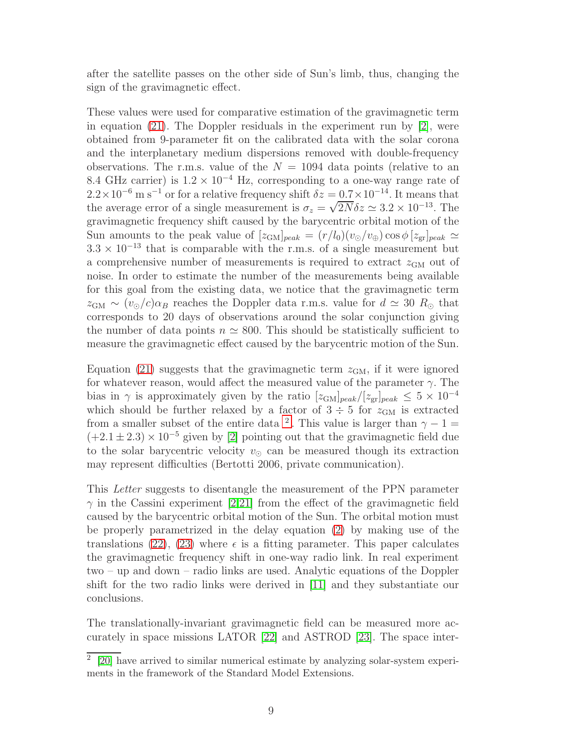after the satellite passes on the other side of Sun's limb, thus, changing the sign of the gravimagnetic effect.

These values were used for comparative estimation of the gravimagnetic term in equation [\(21\)](#page-6-2). The Doppler residuals in the experiment run by  $[2]$ , were obtained from 9-parameter fit on the calibrated data with the solar corona and the interplanetary medium dispersions removed with double-frequency observations. The r.m.s. value of the  $N = 1094$  data points (relative to an 8.4 GHz carrier) is  $1.2 \times 10^{-4}$  Hz, corresponding to a one-way range rate of  $2.2 \times 10^{-6}$  m s<sup>-1</sup> or for a relative frequency shift  $\delta z = 0.7 \times 10^{-14}$ . It means that the average error of a single measurement is  $\sigma_z = \sqrt{2N} \delta z \simeq 3.2 \times 10^{-13}$ . The gravimagnetic frequency shift caused by the barycentric orbital motion of the Sun amounts to the peak value of  $[z_{GM}]_{peak} = (r/l_0)(v_{\odot}/v_{\oplus}) \cos \phi [z_{gr}]_{peak} \simeq$  $3.3 \times 10^{-13}$  that is comparable with the r.m.s. of a single measurement but a comprehensive number of measurements is required to extract  $z_{\text{GM}}$  out of noise. In order to estimate the number of the measurements being available for this goal from the existing data, we notice that the gravimagnetic term  $z_{\text{GM}} \sim (v_{\odot}/c)\alpha_B$  reaches the Doppler data r.m.s. value for  $d \simeq 30 R_{\odot}$  that corresponds to 20 days of observations around the solar conjunction giving the number of data points  $n \approx 800$ . This should be statistically sufficient to measure the gravimagnetic effect caused by the barycentric motion of the Sun.

Equation [\(21\)](#page-6-2) suggests that the gravimagnetic term  $z_{\text{GM}}$ , if it were ignored for whatever reason, would affect the measured value of the parameter  $\gamma$ . The bias in  $\gamma$  is approximately given by the ratio  $[z_{\text{GM}}]_{peak}/[z_{\text{gr}}]_{peak} \leq 5 \times 10^{-4}$ which should be further relaxed by a factor of  $3 \div 5$  for  $z_{\text{GM}}$  is extracted from a smaller subset of the entire data <sup>[2](#page-8-0)</sup>. This value is larger than  $\gamma - 1 =$  $(+2.1 \pm 2.3) \times 10^{-5}$  given by [\[2\]](#page-9-1) pointing out that the gravimagnetic field due to the solar barycentric velocity  $v_{\odot}$  can be measured though its extraction may represent difficulties (Bertotti 2006, private communication).

This Letter suggests to disentangle the measurement of the PPN parameter  $\gamma$  in the Cassini experiment [\[2,](#page-9-1)[21\]](#page-10-4) from the effect of the gravimagnetic field caused by the barycentric orbital motion of the Sun. The orbital motion must be properly parametrized in the delay equation [\(2\)](#page-2-0) by making use of the translations [\(22\)](#page-7-1), [\(23\)](#page-7-1) where  $\epsilon$  is a fitting parameter. This paper calculates the gravimagnetic frequency shift in one-way radio link. In real experiment two – up and down – radio links are used. Analytic equations of the Doppler shift for the two radio links were derived in [\[11\]](#page-9-10) and they substantiate our conclusions.

The translationally-invariant gravimagnetic field can be measured more accurately in space missions LATOR [\[22\]](#page-10-5) and ASTROD [\[23\]](#page-10-6). The space inter-

<span id="page-8-0"></span><sup>2</sup> [\[20\]](#page-10-7) have arrived to similar numerical estimate by analyzing solar-system experiments in the framework of the Standard Model Extensions.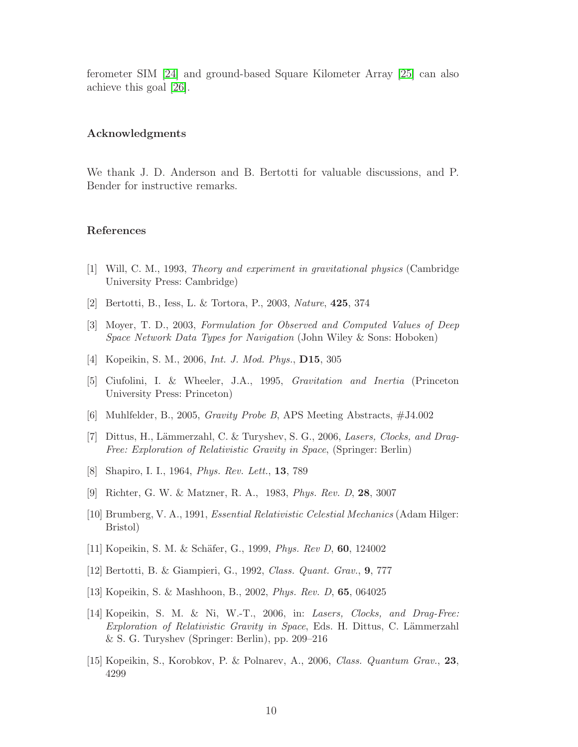ferometer SIM [\[24\]](#page-10-8) and ground-based Square Kilometer Array [\[25\]](#page-10-9) can also achieve this goal [\[26\]](#page-10-10).

# Acknowledgments

We thank J. D. Anderson and B. Bertotti for valuable discussions, and P. Bender for instructive remarks.

#### References

- <span id="page-9-0"></span>[1] Will, C. M., 1993, *Theory and experiment in gravitational physics* (Cambridge University Press: Cambridge)
- <span id="page-9-1"></span>[2] Bertotti, B., Iess, L. & Tortora, P., 2003, *Nature*, 425, 374
- <span id="page-9-2"></span>[3] Moyer, T. D., 2003, *Formulation for Observed and Computed Values of Deep Space Network Data Types for Navigation* (John Wiley & Sons: Hoboken)
- <span id="page-9-3"></span>[4] Kopeikin, S. M., 2006, *Int. J. Mod. Phys.*, D15, 305
- <span id="page-9-4"></span>[5] Ciufolini, I. & Wheeler, J.A., 1995, *Gravitation and Inertia* (Princeton University Press: Princeton)
- <span id="page-9-6"></span>[6] Muhlfelder, B., 2005, *Gravity Probe B*, APS Meeting Abstracts, #J4.002
- <span id="page-9-5"></span>[7] Dittus, H., Lämmerzahl, C. & Turyshev, S. G., 2006, *Lasers, Clocks, and Drag-Free: Exploration of Relativistic Gravity in Space*, (Springer: Berlin)
- <span id="page-9-7"></span>[8] Shapiro, I. I., 1964, *Phys. Rev. Lett.*, 13, 789
- <span id="page-9-8"></span>[9] Richter, G. W. & Matzner, R. A., 1983, *Phys. Rev. D*, 28, 3007
- <span id="page-9-9"></span>[10] Brumberg, V. A., 1991, *Essential Relativistic Celestial Mechanics* (Adam Hilger: Bristol)
- <span id="page-9-10"></span>[11] Kopeikin, S. M. & Schäfer, G., 1999, *Phys. Rev D*, **60**, 124002
- <span id="page-9-11"></span>[12] Bertotti, B. & Giampieri, G., 1992, *Class. Quant. Grav.*, 9, 777
- <span id="page-9-12"></span>[13] Kopeikin, S. & Mashhoon, B., 2002, *Phys. Rev. D*, 65, 064025
- <span id="page-9-13"></span>[14] Kopeikin, S. M. & Ni, W.-T., 2006, in: *Lasers, Clocks, and Drag-Free: Exploration of Relativistic Gravity in Space*, Eds. H. Dittus, C. Lämmerzahl & S. G. Turyshev (Springer: Berlin), pp. 209–216
- <span id="page-9-14"></span>[15] Kopeikin, S., Korobkov, P. & Polnarev, A., 2006, *Class. Quantum Grav.*, 23, 4299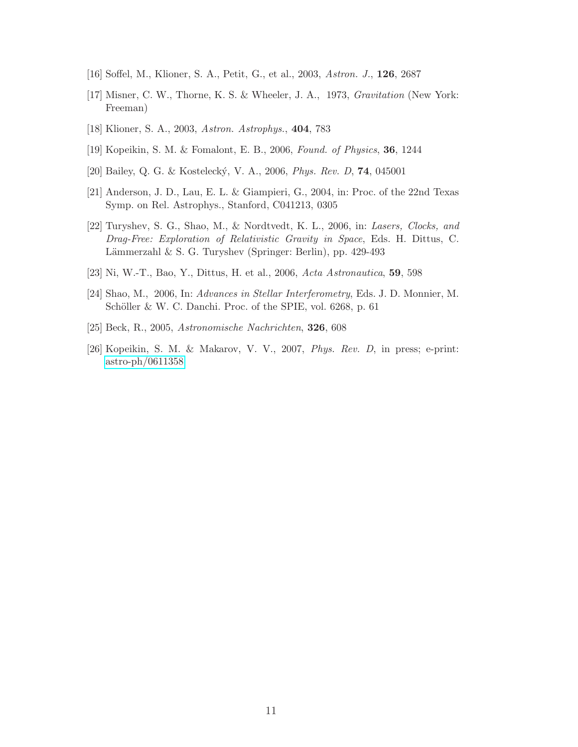- <span id="page-10-0"></span>[16] Soffel, M., Klioner, S. A., Petit, G., et al., 2003, *Astron. J.*, 126, 2687
- <span id="page-10-1"></span>[17] Misner, C. W., Thorne, K. S. & Wheeler, J. A., 1973, *Gravitation* (New York: Freeman)
- <span id="page-10-2"></span>[18] Klioner, S. A., 2003, *Astron. Astrophys.*, 404, 783
- <span id="page-10-3"></span>[19] Kopeikin, S. M. & Fomalont, E. B., 2006, *Found. of Physics*, 36, 1244
- <span id="page-10-7"></span>[20] Bailey, Q. G. & Kosteleck´y, V. A., 2006, *Phys. Rev. D*, 74, 045001
- <span id="page-10-4"></span>[21] Anderson, J. D., Lau, E. L. & Giampieri, G., 2004, in: Proc. of the 22nd Texas Symp. on Rel. Astrophys., Stanford, C041213, 0305
- <span id="page-10-5"></span>[22] Turyshev, S. G., Shao, M., & Nordtvedt, K. L., 2006, in: *Lasers, Clocks, and Drag-Free: Exploration of Relativistic Gravity in Space*, Eds. H. Dittus, C. Lämmerzahl & S. G. Turyshev (Springer: Berlin), pp. 429-493
- <span id="page-10-6"></span>[23] Ni, W.-T., Bao, Y., Dittus, H. et al., 2006, *Acta Astronautica*, 59, 598
- <span id="page-10-8"></span>[24] Shao, M., 2006, In: *Advances in Stellar Interferometry*, Eds. J. D. Monnier, M. Schöller & W. C. Danchi. Proc. of the SPIE, vol. 6268, p. 61
- <span id="page-10-9"></span>[25] Beck, R., 2005, *Astronomische Nachrichten*, 326, 608
- <span id="page-10-10"></span>[26] Kopeikin, S. M. & Makarov, V. V., 2007, *Phys. Rev. D*, in press; e-print: [astro-ph/0611358](http://arxiv.org/abs/astro-ph/0611358)